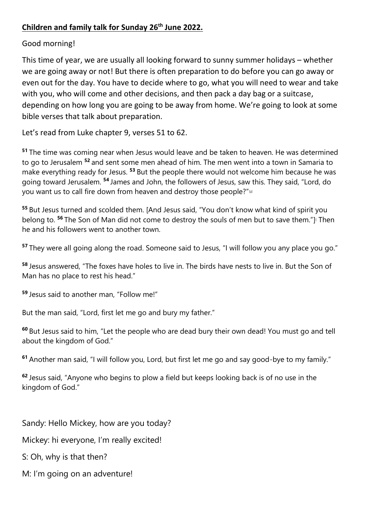## **Children and family talk for Sunday 26th June 2022.**

## Good morning!

This time of year, we are usually all looking forward to sunny summer holidays – whether we are going away or not! But there is often preparation to do before you can go away or even out for the day. You have to decide where to go, what you will need to wear and take with you, who will come and other decisions, and then pack a day bag or a suitcase, depending on how long you are going to be away from home. We're going to look at some bible verses that talk about preparation.

Let's read from Luke chapter 9, verses 51 to 62.

**<sup>51</sup>** The time was coming near when Jesus would leave and be taken to heaven. He was determined to go to Jerusalem **<sup>52</sup>** and sent some men ahead of him. The men went into a town in Samaria to make everything ready for Jesus. **<sup>53</sup>** But the people there would not welcome him because he was going toward Jerusalem. **<sup>54</sup>** James and John, the followers of Jesus, saw this. They said, "Lord, do you want us to call fire down from heaven and destroy those people?"<sup>[a]</sup>

**<sup>55</sup>** But Jesus turned and scolded them. [And Jesus said, "You don't know what kind of spirit you belong to. <sup>56</sup> The Son of Man did not come to destroy the souls of men but to save them."] Then he and his followers went to another town.

**<sup>57</sup>** They were all going along the road. Someone said to Jesus, "I will follow you any place you go."

**<sup>58</sup>** Jesus answered, "The foxes have holes to live in. The birds have nests to live in. But the Son of Man has no place to rest his head."

**<sup>59</sup>** Jesus said to another man, "Follow me!"

But the man said, "Lord, first let me go and bury my father."

**<sup>60</sup>** But Jesus said to him, "Let the people who are dead bury their own dead! You must go and tell about the kingdom of God."

**<sup>61</sup>** Another man said, "I will follow you, Lord, but first let me go and say good-bye to my family."

**<sup>62</sup>** Jesus said, "Anyone who begins to plow a field but keeps looking back is of no use in the kingdom of God."

Sandy: Hello Mickey, how are you today?

Mickey: hi everyone, I'm really excited!

S: Oh, why is that then?

M: I'm going on an adventure!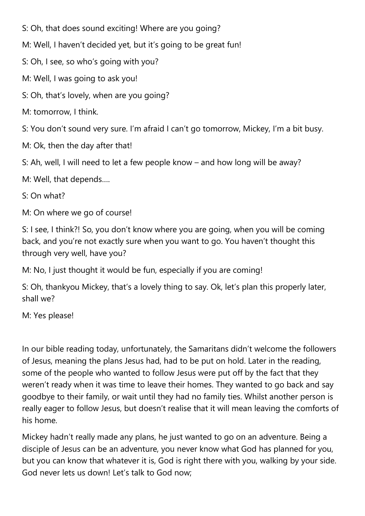S: Oh, that does sound exciting! Where are you going?

M: Well, I haven't decided yet, but it's going to be great fun!

S: Oh, I see, so who's going with you?

M: Well, I was going to ask you!

S: Oh, that's lovely, when are you going?

M: tomorrow, I think.

S: You don't sound very sure. I'm afraid I can't go tomorrow, Mickey, I'm a bit busy.

M: Ok, then the day after that!

S: Ah, well, I will need to let a few people know – and how long will be away?

M: Well, that depends….

S: On what?

M: On where we go of course!

S: I see, I think?! So, you don't know where you are going, when you will be coming back, and you're not exactly sure when you want to go. You haven't thought this through very well, have you?

M: No, I just thought it would be fun, especially if you are coming!

S: Oh, thankyou Mickey, that's a lovely thing to say. Ok, let's plan this properly later, shall we?

M: Yes please!

In our bible reading today, unfortunately, the Samaritans didn't welcome the followers of Jesus, meaning the plans Jesus had, had to be put on hold. Later in the reading, some of the people who wanted to follow Jesus were put off by the fact that they weren't ready when it was time to leave their homes. They wanted to go back and say goodbye to their family, or wait until they had no family ties. Whilst another person is really eager to follow Jesus, but doesn't realise that it will mean leaving the comforts of his home.

Mickey hadn't really made any plans, he just wanted to go on an adventure. Being a disciple of Jesus can be an adventure, you never know what God has planned for you, but you can know that whatever it is, God is right there with you, walking by your side. God never lets us down! Let's talk to God now;